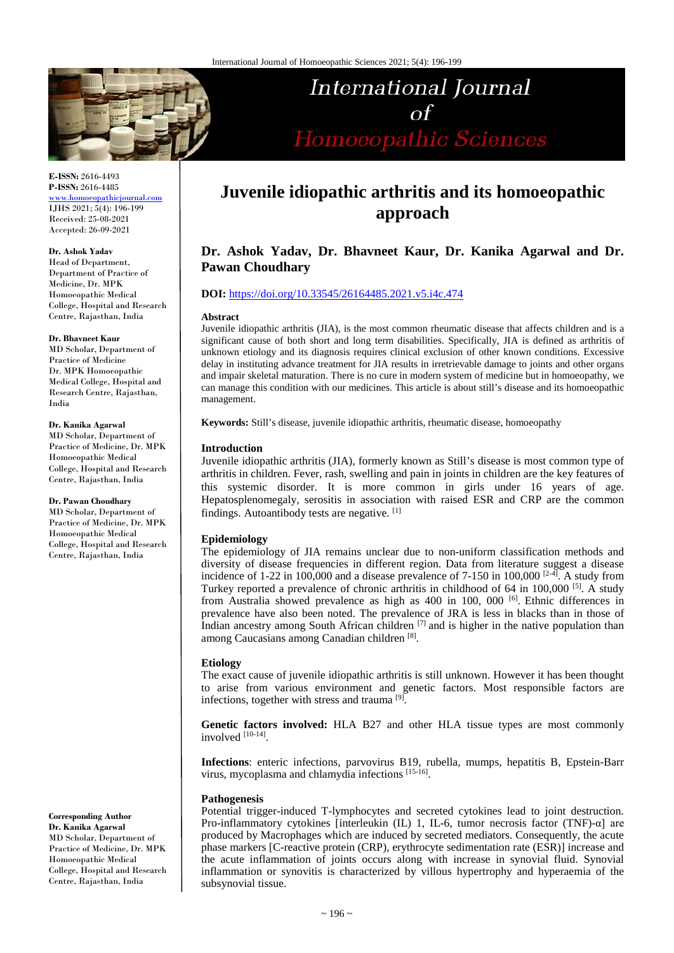

# International Journal  $\Omega$ Homoeopathic Sciences

**E-ISSN:** 2616-4493 **P-ISSN:** 2616-4485

[www.homoeopathicjournal.com](file://Server/test/homoeopathicjournal/issue/vol%204/issue%201/www.homoeopathicjournal.com) IJHS 2021; 5(4): 196-199 Received: 25-08-2021 Accepted: 26-09-2021

#### **Dr. Ashok Yadav**

Head of Department, Department of Practice of Medicine, Dr. MPK Homoeopathic Medical College, Hospital and Research Centre, Rajasthan, India

#### **Dr. Bhavneet Kaur**

MD Scholar, Department of Practice of Medicine Dr. MPK Homoeopathic Medical College, Hospital and Research Centre, Rajasthan, India

#### **Dr. Kanika Agarwal**

MD Scholar, Department of Practice of Medicine, Dr. MPK Homoeopathic Medical College, Hospital and Research Centre, Rajasthan, India

#### **Dr. Pawan Choudhary**

MD Scholar, Department of Practice of Medicine, Dr. MPK Homoeopathic Medical College, Hospital and Research Centre, Rajasthan, India

**Corresponding Author Dr. Kanika Agarwal**  MD Scholar, Department of Practice of Medicine, Dr. MPK Homoeopathic Medical College, Hospital and Research Centre, Rajasthan, India

## **Juvenile idiopathic arthritis and its homoeopathic approach**

## **Dr. Ashok Yadav, Dr. Bhavneet Kaur, Dr. Kanika Agarwal and Dr. Pawan Choudhary**

#### **DOI:** <https://doi.org/10.33545/26164485.2021.v5.i4c.474>

#### **Abstract**

Juvenile idiopathic arthritis (JIA), is the most common rheumatic disease that affects children and is a significant cause of both short and long term disabilities. Specifically, JIA is defined as arthritis of unknown etiology and its diagnosis requires clinical exclusion of other known conditions. Excessive delay in instituting advance treatment for JIA results in irretrievable damage to joints and other organs and impair skeletal maturation. There is no cure in modern system of medicine but in homoeopathy, we can manage this condition with our medicines. This article is about still's disease and its homoeopathic management.

**Keywords:** Still's disease, juvenile idiopathic arthritis, rheumatic disease, homoeopathy

#### **Introduction**

Juvenile idiopathic arthritis (JIA), formerly known as Still's disease is most common type of arthritis in children. Fever, rash, swelling and pain in joints in children are the key features of this systemic disorder. It is more common in girls under 16 years of age. Hepatosplenomegaly, serositis in association with raised ESR and CRP are the common findings. Autoantibody tests are negative. [1]

#### **Epidemiology**

The epidemiology of JIA remains unclear due to non-uniform classification methods and diversity of disease frequencies in different region. Data from literature suggest a disease incidence of 1-22 in 100,000 and a disease prevalence of 7-150 in 100,000  $[2-4]$ . A study from Turkey reported a prevalence of chronic arthritis in childhood of 64 in 100,000 [5]. A study from Australia showed prevalence as high as 400 in 100, 000 [6]. Ethnic differences in prevalence have also been noted. The prevalence of JRA is less in blacks than in those of Indian ancestry among South African children  $[7]$  and is higher in the native population than among Caucasians among Canadian children [8].

#### **Etiology**

The exact cause of juvenile idiopathic arthritis is still unknown. However it has been thought to arise from various environment and genetic factors. Most responsible factors are infections, together with stress and trauma [9].

**Genetic factors involved:** HLA B27 and other HLA tissue types are most commonly involved [10-14].

**Infections**: enteric infections, parvovirus B19, rubella, mumps, hepatitis B, Epstein-Barr virus, mycoplasma and chlamydia infections [15-16].

#### **Pathogenesis**

Potential trigger-induced T-lymphocytes and secreted cytokines lead to joint destruction. Pro-inflammatory cytokines [interleukin (IL) 1, IL-6, tumor necrosis factor (TNF)-α] are produced by Macrophages which are induced by secreted mediators. Consequently, the acute phase markers [C-reactive protein (CRP), erythrocyte sedimentation rate (ESR)] increase and the acute inflammation of joints occurs along with increase in synovial fluid. Synovial inflammation or synovitis is characterized by villous hypertrophy and hyperaemia of the subsynovial tissue.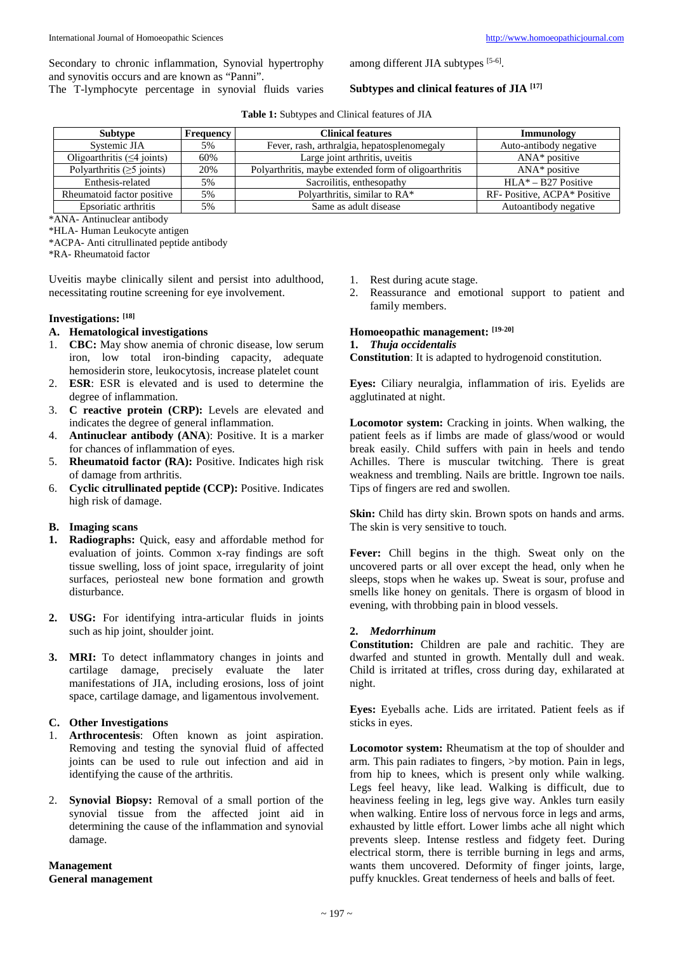Secondary to chronic inflammation, Synovial hypertrophy and synovitis occurs and are known as "Panni".

The T-lymphocyte percentage in synovial fluids varies

among different JIA subtypes [5-6].

#### **Subtypes and clinical features of JIA [17]**

| Subtype                          | Frequency | <b>Clinical features</b>                             | Immunology                  |
|----------------------------------|-----------|------------------------------------------------------|-----------------------------|
| Systemic JIA                     | 5%        | Fever, rash, arthralgia, hepatosplenomegaly          | Auto-antibody negative      |
| Oligoarthritis $(\leq 4$ joints) | 60%       | Large joint arthritis, uveitis                       | $ANA*$ positive             |
| Polyarthritis $(\geq 5$ joints)  | 20%       | Polyarthritis, maybe extended form of oligoarthritis | $ANA*$ positive             |
| Enthesis-related                 | 5%        | Sacroilitis, enthesopathy                            | $HLA*-B27$ Positive         |
| Rheumatoid factor positive       | 5%        | Polyarthritis, similar to RA*                        | RF-Positive, ACPA* Positive |
| Epsoriatic arthritis             | 5%        | Same as adult disease                                | Autoantibody negative       |

\*ANA- Antinuclear antibody

\*HLA- Human Leukocyte antigen

\*ACPA- Anti citrullinated peptide antibody

\*RA- Rheumatoid factor

Uveitis maybe clinically silent and persist into adulthood, necessitating routine screening for eye involvement.

## **Investigations: [18]**

## **A. Hematological investigations**

- 1. **CBC:** May show anemia of chronic disease, low serum iron, low total iron-binding capacity, adequate hemosiderin store, leukocytosis, increase platelet count
- 2. **ESR**: ESR is elevated and is used to determine the degree of inflammation.
- 3. **C reactive protein (CRP):** Levels are elevated and indicates the degree of general inflammation.
- 4. **Antinuclear antibody (ANA**): Positive. It is a marker for chances of inflammation of eyes.
- 5. **Rheumatoid factor (RA):** Positive. Indicates high risk of damage from arthritis.
- 6. **Cyclic citrullinated peptide (CCP):** Positive. Indicates high risk of damage.

# **B. Imaging scans**

- **1. Radiographs:** Quick, easy and affordable method for evaluation of joints. Common x-ray findings are soft tissue swelling, loss of joint space, irregularity of joint surfaces, periosteal new bone formation and growth disturbance.
- **2. USG:** For identifying intra-articular fluids in joints such as hip joint, shoulder joint.
- **3. MRI:** To detect inflammatory changes in joints and cartilage damage, precisely evaluate the later manifestations of JIA, including erosions, loss of joint space, cartilage damage, and ligamentous involvement.

### **C. Other Investigations**

- 1. **Arthrocentesis**: Often known as joint aspiration. Removing and testing the synovial fluid of affected joints can be used to rule out infection and aid in identifying the cause of the arthritis.
- 2. **Synovial Biopsy:** Removal of a small portion of the synovial tissue from the affected joint aid in determining the cause of the inflammation and synovial damage.

**Management General management**

- 1. Rest during acute stage.
- 2. Reassurance and emotional support to patient and family members.

## **Homoeopathic management: [19-20]**

### **1.** *Thuja occidentalis*

**Constitution**: It is adapted to hydrogenoid constitution.

**Eyes:** Ciliary neuralgia, inflammation of iris. Eyelids are agglutinated at night.

**Locomotor system:** Cracking in joints. When walking, the patient feels as if limbs are made of glass/wood or would break easily. Child suffers with pain in heels and tendo Achilles. There is muscular twitching. There is great weakness and trembling. Nails are brittle. Ingrown toe nails. Tips of fingers are red and swollen.

**Skin:** Child has dirty skin. Brown spots on hands and arms. The skin is very sensitive to touch.

**Fever:** Chill begins in the thigh. Sweat only on the uncovered parts or all over except the head, only when he sleeps, stops when he wakes up. Sweat is sour, profuse and smells like honey on genitals. There is orgasm of blood in evening, with throbbing pain in blood vessels.

#### **2.** *Medorrhinum*

**Constitution:** Children are pale and rachitic. They are dwarfed and stunted in growth. Mentally dull and weak. Child is irritated at trifles, cross during day, exhilarated at night.

**Eyes:** Eyeballs ache. Lids are irritated. Patient feels as if sticks in eyes.

**Locomotor system:** Rheumatism at the top of shoulder and arm. This pain radiates to fingers, >by motion. Pain in legs, from hip to knees, which is present only while walking. Legs feel heavy, like lead. Walking is difficult, due to heaviness feeling in leg, legs give way. Ankles turn easily when walking. Entire loss of nervous force in legs and arms, exhausted by little effort. Lower limbs ache all night which prevents sleep. Intense restless and fidgety feet. During electrical storm, there is terrible burning in legs and arms, wants them uncovered. Deformity of finger joints, large, puffy knuckles. Great tenderness of heels and balls of feet.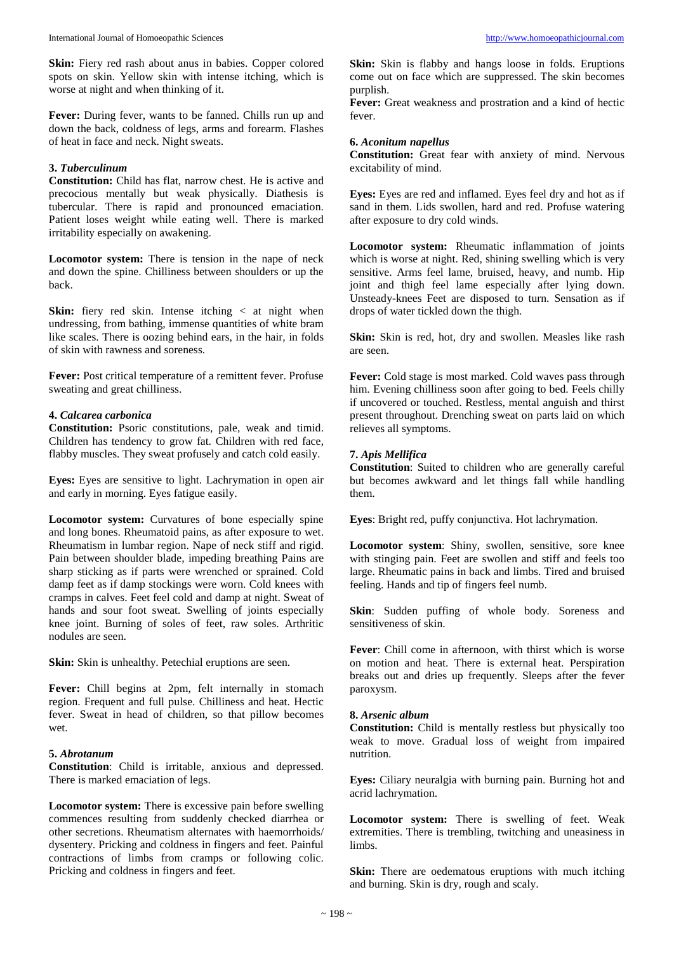**Skin:** Fiery red rash about anus in babies. Copper colored spots on skin. Yellow skin with intense itching, which is worse at night and when thinking of it.

**Fever:** During fever, wants to be fanned. Chills run up and down the back, coldness of legs, arms and forearm. Flashes of heat in face and neck. Night sweats.

#### **3.** *Tuberculinum*

**Constitution:** Child has flat, narrow chest. He is active and precocious mentally but weak physically. Diathesis is tubercular. There is rapid and pronounced emaciation. Patient loses weight while eating well. There is marked irritability especially on awakening.

**Locomotor system:** There is tension in the nape of neck and down the spine. Chilliness between shoulders or up the back.

**Skin:** fiery red skin. Intense itching  $\lt$  at night when undressing, from bathing, immense quantities of white bram like scales. There is oozing behind ears, in the hair, in folds of skin with rawness and soreness.

**Fever:** Post critical temperature of a remittent fever. Profuse sweating and great chilliness.

#### **4.** *Calcarea carbonica*

**Constitution:** Psoric constitutions, pale, weak and timid. Children has tendency to grow fat. Children with red face, flabby muscles. They sweat profusely and catch cold easily.

**Eyes:** Eyes are sensitive to light. Lachrymation in open air and early in morning. Eyes fatigue easily.

Locomotor system: Curvatures of bone especially spine and long bones. Rheumatoid pains, as after exposure to wet. Rheumatism in lumbar region. Nape of neck stiff and rigid. Pain between shoulder blade, impeding breathing Pains are sharp sticking as if parts were wrenched or sprained. Cold damp feet as if damp stockings were worn. Cold knees with cramps in calves. Feet feel cold and damp at night. Sweat of hands and sour foot sweat. Swelling of joints especially knee joint. Burning of soles of feet, raw soles. Arthritic nodules are seen.

**Skin:** Skin is unhealthy. Petechial eruptions are seen.

Fever: Chill begins at 2pm, felt internally in stomach region. Frequent and full pulse. Chilliness and heat. Hectic fever. Sweat in head of children, so that pillow becomes wet.

#### **5.** *Abrotanum*

**Constitution**: Child is irritable, anxious and depressed. There is marked emaciation of legs.

**Locomotor system:** There is excessive pain before swelling commences resulting from suddenly checked diarrhea or other secretions. Rheumatism alternates with haemorrhoids/ dysentery. Pricking and coldness in fingers and feet. Painful contractions of limbs from cramps or following colic. Pricking and coldness in fingers and feet.

**Skin:** Skin is flabby and hangs loose in folds. Eruptions come out on face which are suppressed. The skin becomes purplish.

**Fever:** Great weakness and prostration and a kind of hectic fever.

#### **6.** *Aconitum napellus*

**Constitution:** Great fear with anxiety of mind. Nervous excitability of mind.

**Eyes:** Eyes are red and inflamed. Eyes feel dry and hot as if sand in them. Lids swollen, hard and red. Profuse watering after exposure to dry cold winds.

**Locomotor system:** Rheumatic inflammation of joints which is worse at night. Red, shining swelling which is very sensitive. Arms feel lame, bruised, heavy, and numb. Hip joint and thigh feel lame especially after lying down. Unsteady-knees Feet are disposed to turn. Sensation as if drops of water tickled down the thigh.

**Skin:** Skin is red, hot, dry and swollen. Measles like rash are seen.

**Fever:** Cold stage is most marked. Cold waves pass through him. Evening chilliness soon after going to bed. Feels chilly if uncovered or touched. Restless, mental anguish and thirst present throughout. Drenching sweat on parts laid on which relieves all symptoms.

#### **7.** *Apis Mellifica*

**Constitution**: Suited to children who are generally careful but becomes awkward and let things fall while handling them.

**Eyes**: Bright red, puffy conjunctiva. Hot lachrymation.

**Locomotor system**: Shiny, swollen, sensitive, sore knee with stinging pain. Feet are swollen and stiff and feels too large. Rheumatic pains in back and limbs. Tired and bruised feeling. Hands and tip of fingers feel numb.

**Skin**: Sudden puffing of whole body. Soreness and sensitiveness of skin.

**Fever**: Chill come in afternoon, with thirst which is worse on motion and heat. There is external heat. Perspiration breaks out and dries up frequently. Sleeps after the fever paroxysm.

#### **8.** *Arsenic album*

**Constitution:** Child is mentally restless but physically too weak to move. Gradual loss of weight from impaired nutrition.

**Eyes:** Ciliary neuralgia with burning pain. Burning hot and acrid lachrymation.

**Locomotor system:** There is swelling of feet. Weak extremities. There is trembling, twitching and uneasiness in limbs.

**Skin:** There are oedematous eruptions with much itching and burning. Skin is dry, rough and scaly.